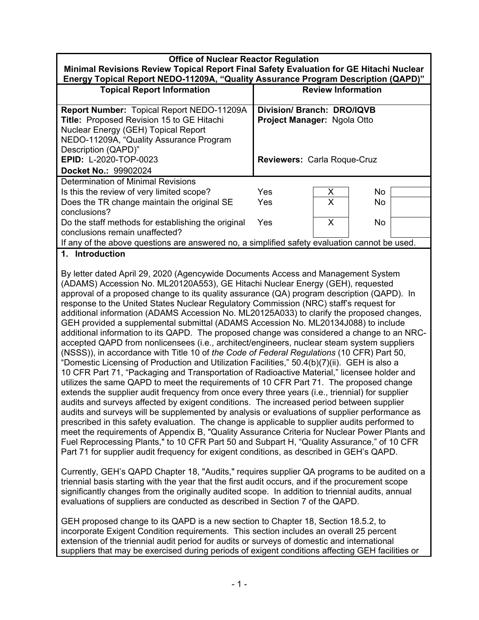| <b>Office of Nuclear Reactor Regulation</b><br>Minimal Revisions Review Topical Report Final Safety Evaluation for GE Hitachi Nuclear<br>Energy Topical Report NEDO-11209A, "Quality Assurance Program Description (QAPD)" |                                                                  |   |     |  |  |
|----------------------------------------------------------------------------------------------------------------------------------------------------------------------------------------------------------------------------|------------------------------------------------------------------|---|-----|--|--|
| <b>Topical Report Information</b>                                                                                                                                                                                          | <b>Review Information</b>                                        |   |     |  |  |
| Report Number: Topical Report NEDO-11209A<br>Title: Proposed Revision 15 to GE Hitachi<br>Nuclear Energy (GEH) Topical Report<br>NEDO-11209A, "Quality Assurance Program<br>Description (QAPD)"                            | Division/ Branch: DRO/IQVB<br><b>Project Manager: Ngola Otto</b> |   |     |  |  |
| EPID: L-2020-TOP-0023<br>Docket No.: 99902024                                                                                                                                                                              | <b>Reviewers: Carla Roque-Cruz</b>                               |   |     |  |  |
| Determination of Minimal Revisions                                                                                                                                                                                         |                                                                  |   |     |  |  |
| Is this the review of very limited scope?                                                                                                                                                                                  | Yes                                                              | X | No  |  |  |
| Does the TR change maintain the original SE<br>conclusions?                                                                                                                                                                | Yes                                                              | X | No. |  |  |
| Do the staff methods for establishing the original<br>conclusions remain unaffected?                                                                                                                                       | Yes                                                              | X | No  |  |  |
| If any of the above questions are answered no, a simplified safety evaluation cannot be used.                                                                                                                              |                                                                  |   |     |  |  |
| 1 Introduction                                                                                                                                                                                                             |                                                                  |   |     |  |  |

**1. Introduction** 

By letter dated April 29, 2020 (Agencywide Documents Access and Management System (ADAMS) Accession No. ML20120A553), GE Hitachi Nuclear Energy (GEH), requested approval of a proposed change to its quality assurance (QA) program description (QAPD). In response to the United States Nuclear Regulatory Commission (NRC) staff's request for additional information (ADAMS Accession No. ML20125A033) to clarify the proposed changes, GEH provided a supplemental submittal (ADAMS Accession No. ML20134J088) to include additional information to its QAPD. The proposed change was considered a change to an NRCaccepted QAPD from nonlicensees (i.e., architect/engineers, nuclear steam system suppliers (NSSS)), in accordance with Title 10 of *the Code of Federal Regulations* (10 CFR) Part 50, "Domestic Licensing of Production and Utilization Facilities," 50.4(b)(7)(ii). GEH is also a 10 CFR Part 71, "Packaging and Transportation of Radioactive Material," licensee holder and utilizes the same QAPD to meet the requirements of 10 CFR Part 71. The proposed change extends the supplier audit frequency from once every three years (i.e., triennial) for supplier audits and surveys affected by exigent conditions. The increased period between supplier audits and surveys will be supplemented by analysis or evaluations of supplier performance as prescribed in this safety evaluation. The change is applicable to supplier audits performed to meet the requirements of Appendix B, "Quality Assurance Criteria for Nuclear Power Plants and Fuel Reprocessing Plants," to 10 CFR Part 50 and Subpart H, "Quality Assurance," of 10 CFR Part 71 for supplier audit frequency for exigent conditions, as described in GEH's QAPD.

Currently, GEH's QAPD Chapter 18, "Audits," requires supplier QA programs to be audited on a triennial basis starting with the year that the first audit occurs, and if the procurement scope significantly changes from the originally audited scope. In addition to triennial audits, annual evaluations of suppliers are conducted as described in Section 7 of the QAPD.

GEH proposed change to its QAPD is a new section to Chapter 18, Section 18.5.2, to incorporate Exigent Condition requirements. This section includes an overall 25 percent extension of the triennial audit period for audits or surveys of domestic and international suppliers that may be exercised during periods of exigent conditions affecting GEH facilities or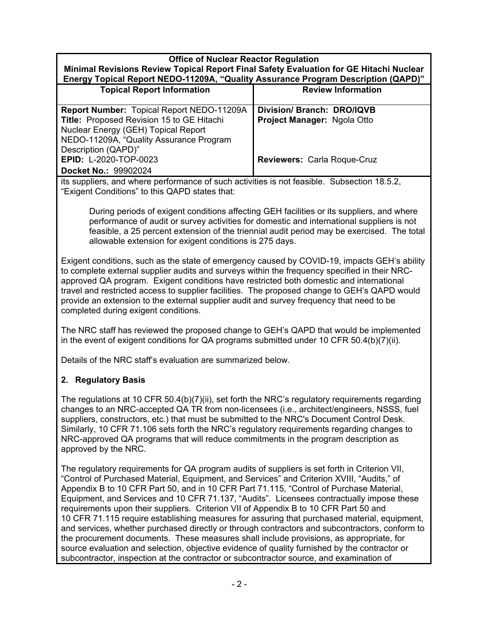#### **Office of Nuclear Reactor Regulation Minimal Revisions Review Topical Report Final Safety Evaluation for GE Hitachi Nuclear Energy Topical Report NEDO-11209A, "Quality Assurance Program Description (QAPD)"**

| <b>Topical Report Information</b>         | <b>Review Information</b>          |  |
|-------------------------------------------|------------------------------------|--|
| Report Number: Topical Report NEDO-11209A | Division/Branch: DRO/IQVB          |  |
| Title: Proposed Revision 15 to GE Hitachi | Project Manager: Ngola Otto        |  |
| Nuclear Energy (GEH) Topical Report       |                                    |  |
| NEDO-11209A, "Quality Assurance Program   |                                    |  |
| Description (QAPD)"                       |                                    |  |
| EPID: L-2020-TOP-0023                     | <b>Reviewers: Carla Roque-Cruz</b> |  |
| Docket No.: 99902024                      |                                    |  |

its suppliers, and where performance of such activities is not feasible. Subsection 18.5.2, "Exigent Conditions" to this QAPD states that:

During periods of exigent conditions affecting GEH facilities or its suppliers, and where performance of audit or survey activities for domestic and international suppliers is not feasible, a 25 percent extension of the triennial audit period may be exercised. The total allowable extension for exigent conditions is 275 days.

Exigent conditions, such as the state of emergency caused by COVID-19, impacts GEH's ability to complete external supplier audits and surveys within the frequency specified in their NRCapproved QA program. Exigent conditions have restricted both domestic and international travel and restricted access to supplier facilities. The proposed change to GEH's QAPD would provide an extension to the external supplier audit and survey frequency that need to be completed during exigent conditions.

The NRC staff has reviewed the proposed change to GEH's QAPD that would be implemented in the event of exigent conditions for QA programs submitted under 10 CFR 50.4(b)(7)(ii).

Details of the NRC staff's evaluation are summarized below.

## **2. Regulatory Basis**

The regulations at 10 CFR 50.4(b)(7)(ii), set forth the NRC's regulatory requirements regarding changes to an NRC-accepted QA TR from non-licensees (i.e., architect/engineers, NSSS, fuel suppliers, constructors, etc.) that must be submitted to the NRC's Document Control Desk. Similarly, 10 CFR 71.106 sets forth the NRC's regulatory requirements regarding changes to NRC-approved QA programs that will reduce commitments in the program description as approved by the NRC.

The regulatory requirements for QA program audits of suppliers is set forth in Criterion VII, "Control of Purchased Material, Equipment, and Services" and Criterion XVIII, "Audits," of Appendix B to 10 CFR Part 50, and in 10 CFR Part 71.115, "Control of Purchase Material, Equipment, and Services and 10 CFR 71.137, "Audits". Licensees contractually impose these requirements upon their suppliers. Criterion VII of Appendix B to 10 CFR Part 50 and 10 CFR 71.115 require establishing measures for assuring that purchased material, equipment, and services, whether purchased directly or through contractors and subcontractors, conform to the procurement documents. These measures shall include provisions, as appropriate, for source evaluation and selection, objective evidence of quality furnished by the contractor or subcontractor, inspection at the contractor or subcontractor source, and examination of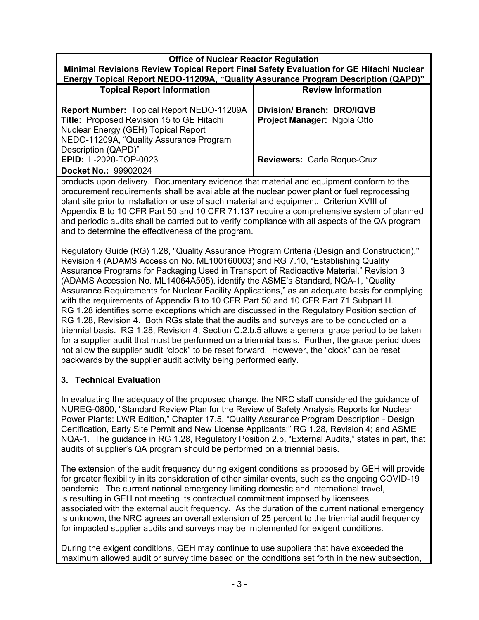### **Office of Nuclear Reactor Regulation Minimal Revisions Review Topical Report Final Safety Evaluation for GE Hitachi Nuclear Energy Topical Report NEDO-11209A, "Quality Assurance Program Description (QAPD)"**

| <b>Topical Report Information</b>                | <b>Review Information</b>   |  |
|--------------------------------------------------|-----------------------------|--|
|                                                  |                             |  |
| <b>Report Number: Topical Report NEDO-11209A</b> | Division/ Branch: DRO/IQVB  |  |
| Title: Proposed Revision 15 to GE Hitachi        | Project Manager: Ngola Otto |  |
| Nuclear Energy (GEH) Topical Report              |                             |  |
| NEDO-11209A, "Quality Assurance Program          |                             |  |
| Description (QAPD)"                              |                             |  |
| EPID: L-2020-TOP-0023                            | Reviewers: Carla Roque-Cruz |  |
| Docket No.: 99902024                             |                             |  |

products upon delivery. Documentary evidence that material and equipment conform to the procurement requirements shall be available at the nuclear power plant or fuel reprocessing plant site prior to installation or use of such material and equipment. Criterion XVIII of Appendix B to 10 CFR Part 50 and 10 CFR 71.137 require a comprehensive system of planned and periodic audits shall be carried out to verify compliance with all aspects of the QA program and to determine the effectiveness of the program.

Regulatory Guide (RG) 1.28, "Quality Assurance Program Criteria (Design and Construction)," Revision 4 (ADAMS Accession No. ML100160003) and RG 7.10, "Establishing Quality Assurance Programs for Packaging Used in Transport of Radioactive Material," Revision 3 (ADAMS Accession No. ML14064A505), identify the ASME's Standard, NQA-1, "Quality Assurance Requirements for Nuclear Facility Applications," as an adequate basis for complying with the requirements of Appendix B to 10 CFR Part 50 and 10 CFR Part 71 Subpart H. RG 1.28 identifies some exceptions which are discussed in the Regulatory Position section of RG 1.28, Revision 4. Both RGs state that the audits and surveys are to be conducted on a triennial basis. RG 1.28, Revision 4, Section C.2.b.5 allows a general grace period to be taken for a supplier audit that must be performed on a triennial basis. Further, the grace period does not allow the supplier audit "clock" to be reset forward. However, the "clock" can be reset backwards by the supplier audit activity being performed early.

## **3. Technical Evaluation**

In evaluating the adequacy of the proposed change, the NRC staff considered the guidance of NUREG-0800, "Standard Review Plan for the Review of Safety Analysis Reports for Nuclear Power Plants: LWR Edition," Chapter 17.5, "Quality Assurance Program Description - Design Certification, Early Site Permit and New License Applicants;" RG 1.28, Revision 4; and ASME NQA-1. The guidance in RG 1.28, Regulatory Position 2.b, "External Audits," states in part, that audits of supplier's QA program should be performed on a triennial basis.

The extension of the audit frequency during exigent conditions as proposed by GEH will provide for greater flexibility in its consideration of other similar events, such as the ongoing COVID-19 pandemic. The current national emergency limiting domestic and international travel, is resulting in GEH not meeting its contractual commitment imposed by licensees associated with the external audit frequency. As the duration of the current national emergency is unknown, the NRC agrees an overall extension of 25 percent to the triennial audit frequency for impacted supplier audits and surveys may be implemented for exigent conditions.

During the exigent conditions, GEH may continue to use suppliers that have exceeded the maximum allowed audit or survey time based on the conditions set forth in the new subsection,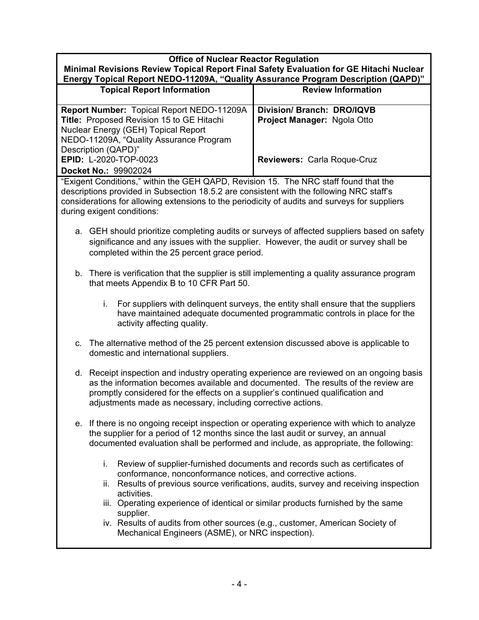#### **Office of Nuclear Reactor Regulation Minimal Revisions Review Topical Report Final Safety Evaluation for GE Hitachi Nuclear Energy Topical Report NEDO-11209A, "Quality Assurance Program Description (QAPD)"**

| <b>Topical Report Information</b>         | <b>Review Information</b>   |  |
|-------------------------------------------|-----------------------------|--|
|                                           |                             |  |
| Report Number: Topical Report NEDO-11209A | Division/ Branch: DRO/IQVB  |  |
| Title: Proposed Revision 15 to GE Hitachi | Project Manager: Ngola Otto |  |
| Nuclear Energy (GEH) Topical Report       |                             |  |
| NEDO-11209A, "Quality Assurance Program   |                             |  |
| Description (QAPD)"                       |                             |  |
| EPID: L-2020-TOP-0023                     | Reviewers: Carla Roque-Cruz |  |
| Docket No.: 99902024                      |                             |  |

"Exigent Conditions," within the GEH QAPD, Revision 15. The NRC staff found that the descriptions provided in Subsection 18.5.2 are consistent with the following NRC staff's considerations for allowing extensions to the periodicity of audits and surveys for suppliers during exigent conditions:

- a. GEH should prioritize completing audits or surveys of affected suppliers based on safety significance and any issues with the supplier. However, the audit or survey shall be completed within the 25 percent grace period.
- b. There is verification that the supplier is still implementing a quality assurance program that meets Appendix B to 10 CFR Part 50.
	- i. For suppliers with delinquent surveys, the entity shall ensure that the suppliers have maintained adequate documented programmatic controls in place for the activity affecting quality.
- c. The alternative method of the 25 percent extension discussed above is applicable to domestic and international suppliers.
- d. Receipt inspection and industry operating experience are reviewed on an ongoing basis as the information becomes available and documented. The results of the review are promptly considered for the effects on a supplier's continued qualification and adjustments made as necessary, including corrective actions.
- e. If there is no ongoing receipt inspection or operating experience with which to analyze the supplier for a period of 12 months since the last audit or survey, an annual documented evaluation shall be performed and include, as appropriate, the following:
	- i. Review of supplier-furnished documents and records such as certificates of conformance, nonconformance notices, and corrective actions.
	- ii. Results of previous source verifications, audits, survey and receiving inspection activities.
	- iii. Operating experience of identical or similar products furnished by the same supplier.
	- iv. Results of audits from other sources (e.g., customer, American Society of Mechanical Engineers (ASME), or NRC inspection).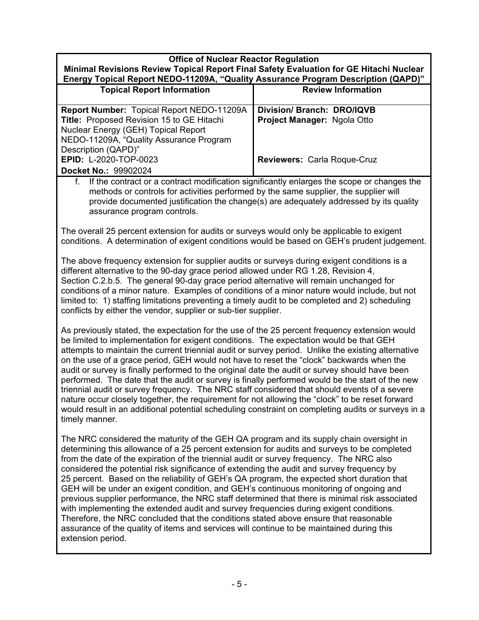# **Office of Nuclear Reactor Regulation Minimal Revisions Review Topical Report Final Safety Evaluation for GE Hitachi Nuclear Energy Topical Report NEDO-11209A, "Quality Assurance Program Description (QAPD)" Topical Report Information Review Information**

| <b>Report Number: Topical Report NEDO-11209A</b> | Division/Branch: DRO/IQVB   |
|--------------------------------------------------|-----------------------------|
| Title: Proposed Revision 15 to GE Hitachi        | Project Manager: Ngola Otto |
| Nuclear Energy (GEH) Topical Report              |                             |
| NEDO-11209A, "Quality Assurance Program          |                             |
| Description (QAPD)"                              |                             |
| <b>EPID: L-2020-TOP-0023</b>                     | Reviewers: Carla Roque-Cruz |
| Docket No.: 99902024                             |                             |

f. If the contract or a contract modification significantly enlarges the scope or changes the methods or controls for activities performed by the same supplier, the supplier will provide documented justification the change(s) are adequately addressed by its quality assurance program controls.

The overall 25 percent extension for audits or surveys would only be applicable to exigent conditions. A determination of exigent conditions would be based on GEH's prudent judgement.

The above frequency extension for supplier audits or surveys during exigent conditions is a different alternative to the 90-day grace period allowed under RG 1.28, Revision 4, Section C.2.b.5. The general 90-day grace period alternative will remain unchanged for conditions of a minor nature. Examples of conditions of a minor nature would include, but not limited to: 1) staffing limitations preventing a timely audit to be completed and 2) scheduling conflicts by either the vendor, supplier or sub-tier supplier.

As previously stated, the expectation for the use of the 25 percent frequency extension would be limited to implementation for exigent conditions. The expectation would be that GEH attempts to maintain the current triennial audit or survey period. Unlike the existing alternative on the use of a grace period, GEH would not have to reset the "clock" backwards when the audit or survey is finally performed to the original date the audit or survey should have been performed. The date that the audit or survey is finally performed would be the start of the new triennial audit or survey frequency. The NRC staff considered that should events of a severe nature occur closely together, the requirement for not allowing the "clock" to be reset forward would result in an additional potential scheduling constraint on completing audits or surveys in a timely manner.

The NRC considered the maturity of the GEH QA program and its supply chain oversight in determining this allowance of a 25 percent extension for audits and surveys to be completed from the date of the expiration of the triennial audit or survey frequency. The NRC also considered the potential risk significance of extending the audit and survey frequency by 25 percent. Based on the reliability of GEH's QA program, the expected short duration that GEH will be under an exigent condition, and GEH's continuous monitoring of ongoing and previous supplier performance, the NRC staff determined that there is minimal risk associated with implementing the extended audit and survey frequencies during exigent conditions. Therefore, the NRC concluded that the conditions stated above ensure that reasonable assurance of the quality of items and services will continue to be maintained during this extension period.